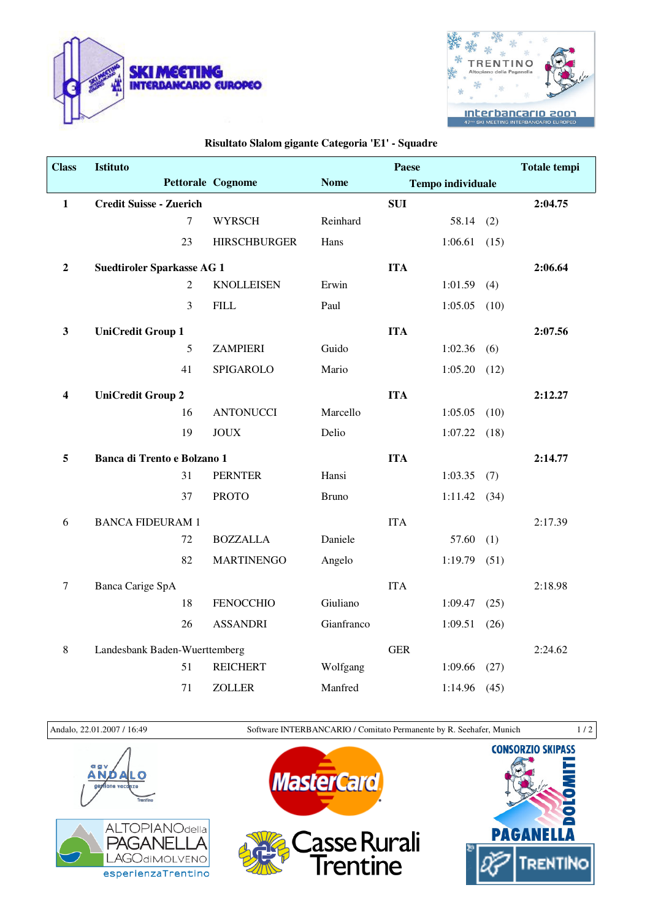



## **Risultato Slalom gigante Categoria 'E1' - Squadre**

| <b>Class</b>            | Istituto                          |                |                     |              | Paese      |                          |      | <b>Totale tempi</b> |
|-------------------------|-----------------------------------|----------------|---------------------|--------------|------------|--------------------------|------|---------------------|
|                         |                                   |                | Pettorale Cognome   | <b>Nome</b>  |            | <b>Tempo individuale</b> |      |                     |
| $\mathbf{1}$            | <b>Credit Suisse - Zuerich</b>    |                |                     |              | <b>SUI</b> |                          |      | 2:04.75             |
|                         |                                   | $\overline{7}$ | <b>WYRSCH</b>       | Reinhard     |            | 58.14                    | (2)  |                     |
|                         | 23                                |                | <b>HIRSCHBURGER</b> | Hans         |            | 1:06.61                  | (15) |                     |
| $\boldsymbol{2}$        | <b>Suedtiroler Sparkasse AG 1</b> |                |                     |              | <b>ITA</b> |                          |      | 2:06.64             |
|                         |                                   | $\overline{2}$ | <b>KNOLLEISEN</b>   | Erwin        |            | 1:01.59                  | (4)  |                     |
|                         |                                   | 3              | <b>FILL</b>         | Paul         |            | 1:05.05                  | (10) |                     |
| $\mathbf{3}$            | <b>UniCredit Group 1</b>          |                |                     |              | <b>ITA</b> |                          |      | 2:07.56             |
|                         |                                   | 5              | <b>ZAMPIERI</b>     | Guido        |            | 1:02.36                  | (6)  |                     |
|                         | 41                                |                | SPIGAROLO           | Mario        |            | 1:05.20                  | (12) |                     |
| $\overline{\mathbf{4}}$ | <b>UniCredit Group 2</b>          |                |                     |              | <b>ITA</b> |                          |      | 2:12.27             |
|                         | 16                                |                | <b>ANTONUCCI</b>    | Marcello     |            | 1:05.05                  | (10) |                     |
|                         | 19                                |                | <b>JOUX</b>         | Delio        |            | 1:07.22                  | (18) |                     |
| 5                       | Banca di Trento e Bolzano 1       |                |                     |              | <b>ITA</b> |                          |      | 2:14.77             |
|                         | 31                                |                | <b>PERNTER</b>      | Hansi        |            | 1:03.35                  | (7)  |                     |
|                         | 37                                |                | <b>PROTO</b>        | <b>Bruno</b> |            | $1:11.42$ (34)           |      |                     |
| 6                       | <b>BANCA FIDEURAM 1</b>           |                |                     |              | <b>ITA</b> |                          |      | 2:17.39             |
|                         | 72                                |                | <b>BOZZALLA</b>     | Daniele      |            | 57.60                    | (1)  |                     |
|                         | 82                                |                | <b>MARTINENGO</b>   | Angelo       |            | 1:19.79                  | (51) |                     |
| $\boldsymbol{7}$        | <b>Banca Carige SpA</b>           |                |                     |              | <b>ITA</b> |                          |      | 2:18.98             |
|                         | 18                                |                | <b>FENOCCHIO</b>    | Giuliano     |            | 1:09.47                  | (25) |                     |
|                         | 26                                |                | <b>ASSANDRI</b>     | Gianfranco   |            | 1:09.51                  | (26) |                     |
| $\,8\,$                 | Landesbank Baden-Wuerttemberg     |                |                     |              | <b>GER</b> |                          |      | 2:24.62             |
|                         | 51                                |                | <b>REICHERT</b>     | Wolfgang     |            | 1:09.66                  | (27) |                     |
|                         | 71                                |                | <b>ZOLLER</b>       | Manfred      |            | 1:14.96                  | (45) |                     |

Andalo, 22.01.2007 / 16:49 Software INTERBANCARIO / Comitato Permanente by R. Seehafer, Munich 1 / 2